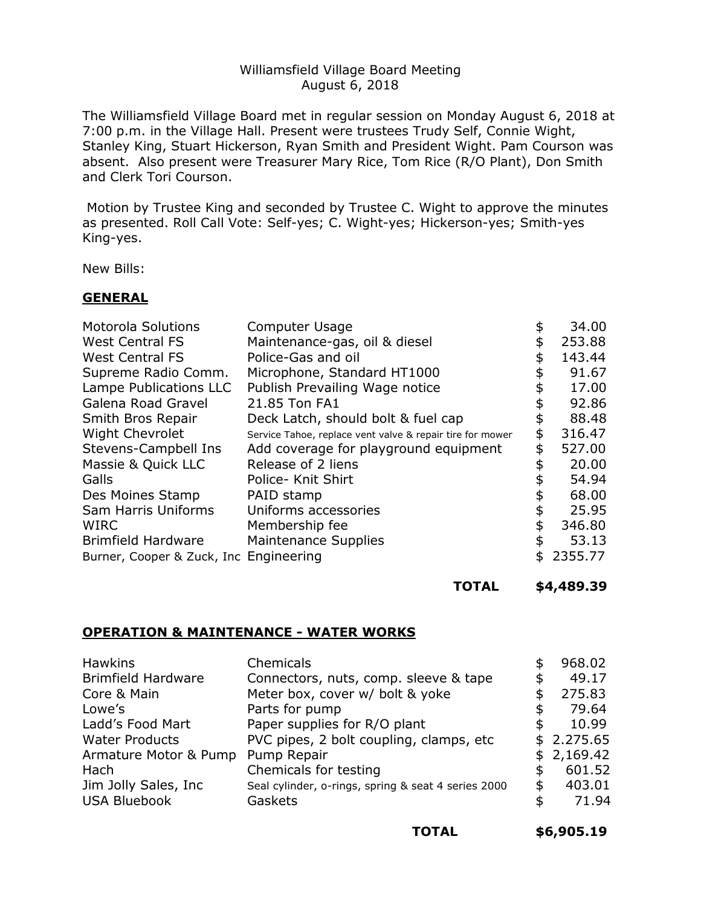### Williamsfield Village Board Meeting August 6, 2018

The Williamsfield Village Board met in regular session on Monday August 6, 2018 at 7:00 p.m. in the Village Hall. Present were trustees Trudy Self, Connie Wight, Stanley King, Stuart Hickerson, Ryan Smith and President Wight. Pam Courson was absent. Also present were Treasurer Mary Rice, Tom Rice (R/O Plant), Don Smith and Clerk Tori Courson.

Motion by Trustee King and seconded by Trustee C. Wight to approve the minutes as presented. Roll Call Vote: Self-yes; C. Wight-yes; Hickerson-yes; Smith-yes King-yes.

New Bills:

#### **GENERAL**

| <b>Motorola Solutions</b>              | <b>Computer Usage</b>                                     | \$<br>34.00  |
|----------------------------------------|-----------------------------------------------------------|--------------|
| <b>West Central FS</b>                 | Maintenance-gas, oil & diesel                             | \$<br>253.88 |
| <b>West Central FS</b>                 | Police-Gas and oil                                        | \$<br>143.44 |
| Supreme Radio Comm.                    | Microphone, Standard HT1000                               | 91.67        |
| Lampe Publications LLC                 | Publish Prevailing Wage notice                            | \$<br>17.00  |
| Galena Road Gravel                     | 21.85 Ton FA1                                             | \$<br>92.86  |
| Smith Bros Repair                      | Deck Latch, should bolt & fuel cap                        | \$<br>88.48  |
| <b>Wight Chevrolet</b>                 | Service Tahoe, replace vent valve & repair tire for mower | \$<br>316.47 |
| Stevens-Campbell Ins                   | Add coverage for playground equipment                     | \$<br>527.00 |
| Massie & Quick LLC                     | Release of 2 liens                                        | \$<br>20.00  |
| Galls                                  | Police- Knit Shirt                                        | 54.94        |
| Des Moines Stamp                       | PAID stamp                                                | \$<br>68.00  |
| Sam Harris Uniforms                    | Uniforms accessories                                      | \$<br>25.95  |
| <b>WIRC</b>                            | Membership fee                                            | \$<br>346.80 |
| <b>Brimfield Hardware</b>              | <b>Maintenance Supplies</b>                               | \$<br>53.13  |
| Burner, Cooper & Zuck, Inc Engineering |                                                           | 2355.77      |
|                                        |                                                           |              |

**TOTAL \$4,489.39**

#### **OPERATION & MAINTENANCE - WATER WORKS**

|    | 968.02     |
|----|------------|
| S  | 49.17      |
|    | 275.83     |
| \$ | 79.64      |
| S  | 10.99      |
|    | \$2.275.65 |
|    | \$2,169.42 |
|    | 601.52     |
| S  | 403.01     |
|    | 71.94      |
|    |            |

| TOTAL | \$6,905.19 |
|-------|------------|
|-------|------------|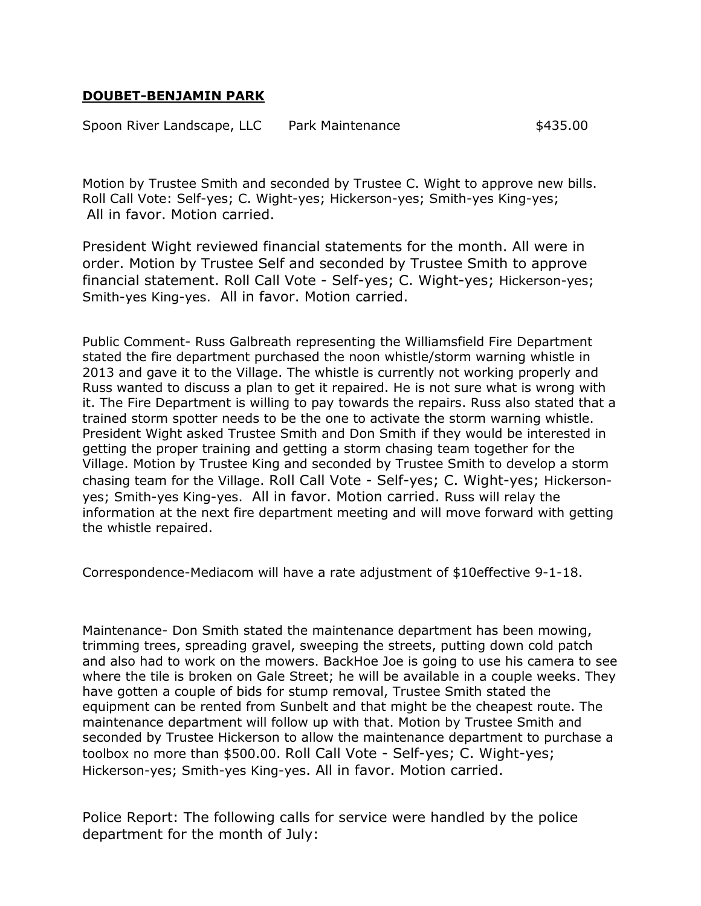## **DOUBET-BENJAMIN PARK**

Spoon River Landscape, LLC Park Maintenance  $$435.00$ 

Motion by Trustee Smith and seconded by Trustee C. Wight to approve new bills. Roll Call Vote: Self-yes; C. Wight-yes; Hickerson-yes; Smith-yes King-yes; All in favor. Motion carried.

President Wight reviewed financial statements for the month. All were in order. Motion by Trustee Self and seconded by Trustee Smith to approve financial statement. Roll Call Vote - Self-yes; C. Wight-yes; Hickerson-yes; Smith-yes King-yes. All in favor. Motion carried.

Public Comment- Russ Galbreath representing the Williamsfield Fire Department stated the fire department purchased the noon whistle/storm warning whistle in 2013 and gave it to the Village. The whistle is currently not working properly and Russ wanted to discuss a plan to get it repaired. He is not sure what is wrong with it. The Fire Department is willing to pay towards the repairs. Russ also stated that a trained storm spotter needs to be the one to activate the storm warning whistle. President Wight asked Trustee Smith and Don Smith if they would be interested in getting the proper training and getting a storm chasing team together for the Village. Motion by Trustee King and seconded by Trustee Smith to develop a storm chasing team for the Village. Roll Call Vote - Self-yes; C. Wight-yes; Hickersonyes; Smith-yes King-yes. All in favor. Motion carried. Russ will relay the information at the next fire department meeting and will move forward with getting the whistle repaired.

Correspondence-Mediacom will have a rate adjustment of \$10effective 9-1-18.

Maintenance- Don Smith stated the maintenance department has been mowing, trimming trees, spreading gravel, sweeping the streets, putting down cold patch and also had to work on the mowers. BackHoe Joe is going to use his camera to see where the tile is broken on Gale Street; he will be available in a couple weeks. They have gotten a couple of bids for stump removal, Trustee Smith stated the equipment can be rented from Sunbelt and that might be the cheapest route. The maintenance department will follow up with that. Motion by Trustee Smith and seconded by Trustee Hickerson to allow the maintenance department to purchase a toolbox no more than \$500.00. Roll Call Vote - Self-yes; C. Wight-yes; Hickerson-yes; Smith-yes King-yes. All in favor. Motion carried.

Police Report: The following calls for service were handled by the police department for the month of July: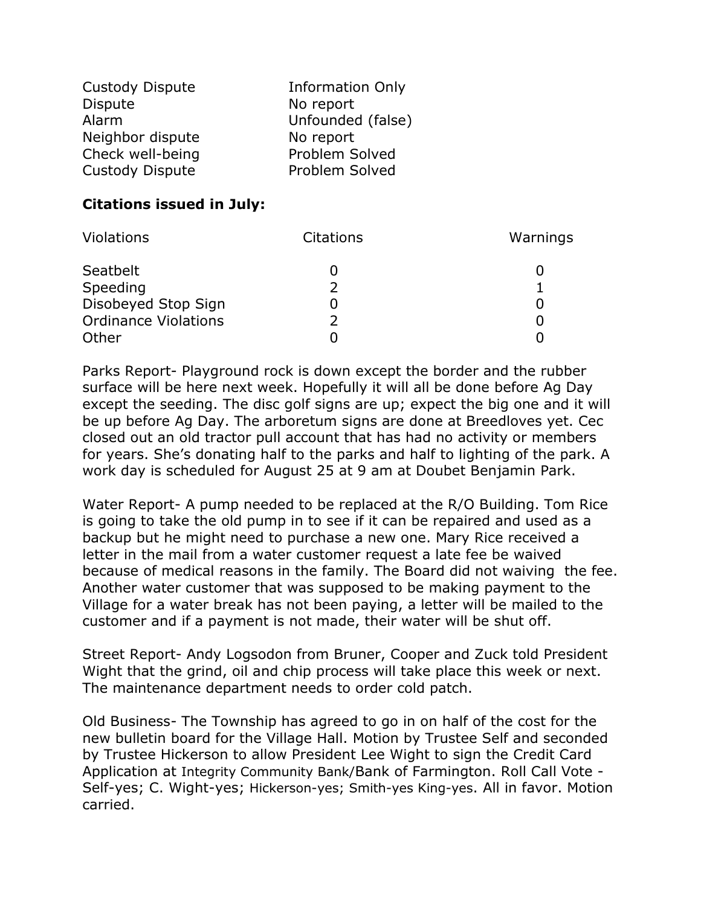| <b>Custody Dispute</b> | <b>Information Only</b> |
|------------------------|-------------------------|
| <b>Dispute</b>         | No report               |
| Alarm                  | Unfounded (false)       |
| Neighbor dispute       | No report               |
| Check well-being       | Problem Solved          |
| Custody Dispute        | Problem Solved          |

# **Citations issued in July:**

| <b>Violations</b>           | Citations | Warnings |
|-----------------------------|-----------|----------|
| Seatbelt                    |           |          |
| Speeding                    |           |          |
| Disobeyed Stop Sign         |           |          |
| <b>Ordinance Violations</b> |           |          |
| Other                       |           |          |

Parks Report- Playground rock is down except the border and the rubber surface will be here next week. Hopefully it will all be done before Ag Day except the seeding. The disc golf signs are up; expect the big one and it will be up before Ag Day. The arboretum signs are done at Breedloves yet. Cec closed out an old tractor pull account that has had no activity or members for years. She's donating half to the parks and half to lighting of the park. A work day is scheduled for August 25 at 9 am at Doubet Benjamin Park.

Water Report- A pump needed to be replaced at the R/O Building. Tom Rice is going to take the old pump in to see if it can be repaired and used as a backup but he might need to purchase a new one. Mary Rice received a letter in the mail from a water customer request a late fee be waived because of medical reasons in the family. The Board did not waiving the fee. Another water customer that was supposed to be making payment to the Village for a water break has not been paying, a letter will be mailed to the customer and if a payment is not made, their water will be shut off.

Street Report- Andy Logsodon from Bruner, Cooper and Zuck told President Wight that the grind, oil and chip process will take place this week or next. The maintenance department needs to order cold patch.

Old Business- The Township has agreed to go in on half of the cost for the new bulletin board for the Village Hall. Motion by Trustee Self and seconded by Trustee Hickerson to allow President Lee Wight to sign the Credit Card Application at Integrity Community Bank/Bank of Farmington. Roll Call Vote - Self-yes; C. Wight-yes; Hickerson-yes; Smith-yes King-yes. All in favor. Motion carried.